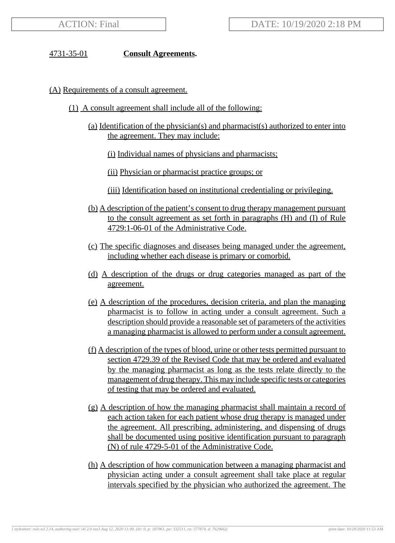#### 4731-35-01 **Consult Agreements.**

#### (A) Requirements of a consult agreement.

- (1) A consult agreement shall include all of the following:
	- (a) Identification of the physician(s) and pharmacist(s) authorized to enter into the agreement. They may include:
		- (i) Individual names of physicians and pharmacists;
		- (ii) Physician or pharmacist practice groups; or
		- (iii) Identification based on institutional credentialing or privileging.
	- (b) A description of the patient's consent to drug therapy management pursuant to the consult agreement as set forth in paragraphs (H) and (I) of Rule 4729:1-06-01 of the Administrative Code.
	- (c) The specific diagnoses and diseases being managed under the agreement, including whether each disease is primary or comorbid.
	- (d) A description of the drugs or drug categories managed as part of the agreement.
	- (e) A description of the procedures, decision criteria, and plan the managing pharmacist is to follow in acting under a consult agreement. Such a description should provide a reasonable set of parameters of the activities a managing pharmacist is allowed to perform under a consult agreement.
	- (f) A description of the types of blood, urine or other tests permitted pursuant to section 4729.39 of the Revised Code that may be ordered and evaluated by the managing pharmacist as long as the tests relate directly to the management of drug therapy. This may include specific tests or categories of testing that may be ordered and evaluated.
	- (g) A description of how the managing pharmacist shall maintain a record of each action taken for each patient whose drug therapy is managed under the agreement. All prescribing, administering, and dispensing of drugs shall be documented using positive identification pursuant to paragraph (N) of rule 4729-5-01 of the Administrative Code.
	- (h) A description of how communication between a managing pharmacist and physician acting under a consult agreement shall take place at regular intervals specified by the physician who authorized the agreement. The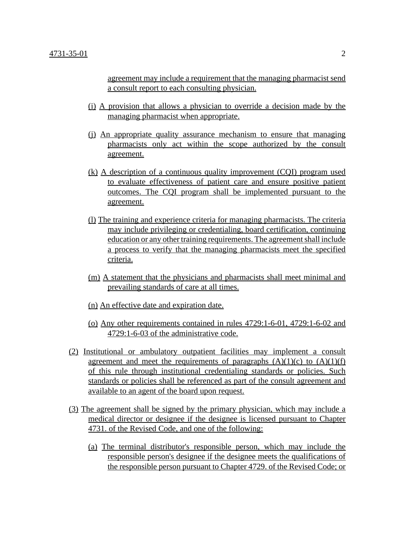agreement may include a requirement that the managing pharmacist send a consult report to each consulting physician.

- (i) A provision that allows a physician to override a decision made by the managing pharmacist when appropriate.
- (j) An appropriate quality assurance mechanism to ensure that managing pharmacists only act within the scope authorized by the consult agreement.
- (k) A description of a continuous quality improvement (CQI) program used to evaluate effectiveness of patient care and ensure positive patient outcomes. The CQI program shall be implemented pursuant to the agreement.
- (l) The training and experience criteria for managing pharmacists. The criteria may include privileging or credentialing, board certification, continuing education or any other training requirements. The agreement shall include a process to verify that the managing pharmacists meet the specified criteria.
- (m) A statement that the physicians and pharmacists shall meet minimal and prevailing standards of care at all times.
- (n) An effective date and expiration date.
- (o) Any other requirements contained in rules 4729:1-6-01, 4729:1-6-02 and 4729:1-6-03 of the administrative code.
- (2) Institutional or ambulatory outpatient facilities may implement a consult agreement and meet the requirements of paragraphs  $(A)(1)(c)$  to  $(A)(1)(f)$ of this rule through institutional credentialing standards or policies. Such standards or policies shall be referenced as part of the consult agreement and available to an agent of the board upon request.
- (3) The agreement shall be signed by the primary physician, which may include a medical director or designee if the designee is licensed pursuant to Chapter 4731. of the Revised Code, and one of the following:
	- (a) The terminal distributor's responsible person, which may include the responsible person's designee if the designee meets the qualifications of the responsible person pursuant to Chapter 4729. of the Revised Code; or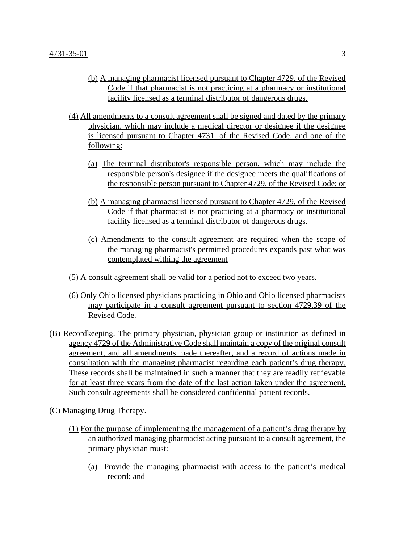- (b) A managing pharmacist licensed pursuant to Chapter 4729. of the Revised Code if that pharmacist is not practicing at a pharmacy or institutional facility licensed as a terminal distributor of dangerous drugs.
- (4) All amendments to a consult agreement shall be signed and dated by the primary physician, which may include a medical director or designee if the designee is licensed pursuant to Chapter 4731. of the Revised Code, and one of the following:
	- (a) The terminal distributor's responsible person, which may include the responsible person's designee if the designee meets the qualifications of the responsible person pursuant to Chapter 4729. of the Revised Code; or
	- (b) A managing pharmacist licensed pursuant to Chapter 4729. of the Revised Code if that pharmacist is not practicing at a pharmacy or institutional facility licensed as a terminal distributor of dangerous drugs.
	- (c) Amendments to the consult agreement are required when the scope of the managing pharmacist's permitted procedures expands past what was contemplated withing the agreement
- (5) A consult agreement shall be valid for a period not to exceed two years.
- (6) Only Ohio licensed physicians practicing in Ohio and Ohio licensed pharmacists may participate in a consult agreement pursuant to section 4729.39 of the Revised Code.
- (B) Recordkeeping. The primary physician, physician group or institution as defined in agency 4729 of the Administrative Code shall maintain a copy of the original consult agreement, and all amendments made thereafter, and a record of actions made in consultation with the managing pharmacist regarding each patient's drug therapy. These records shall be maintained in such a manner that they are readily retrievable for at least three years from the date of the last action taken under the agreement. Such consult agreements shall be considered confidential patient records.
- (C) Managing Drug Therapy.
	- (1) For the purpose of implementing the management of a patient's drug therapy by an authorized managing pharmacist acting pursuant to a consult agreement, the primary physician must:
		- (a) Provide the managing pharmacist with access to the patient's medical record; and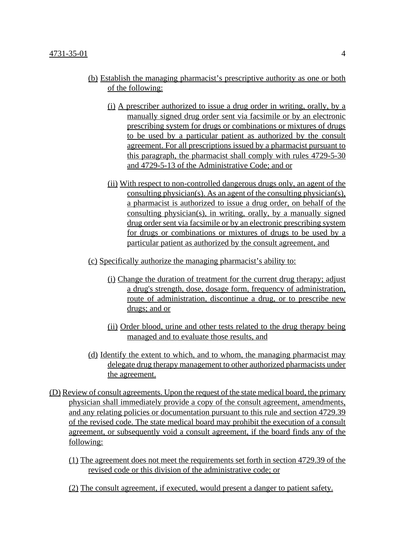#### 4731-35-01 4

- (b) Establish the managing pharmacist's prescriptive authority as one or both of the following:
	- (i) A prescriber authorized to issue a drug order in writing, orally, by a manually signed drug order sent via facsimile or by an electronic prescribing system for drugs or combinations or mixtures of drugs to be used by a particular patient as authorized by the consult agreement. For all prescriptions issued by a pharmacist pursuant to this paragraph, the pharmacist shall comply with rules 4729-5-30 and 4729-5-13 of the Administrative Code; and or
	- (ii) With respect to non-controlled dangerous drugs only, an agent of the consulting physician(s). As an agent of the consulting physician(s), a pharmacist is authorized to issue a drug order, on behalf of the consulting physician(s), in writing, orally, by a manually signed drug order sent via facsimile or by an electronic prescribing system for drugs or combinations or mixtures of drugs to be used by a particular patient as authorized by the consult agreement, and
- (c) Specifically authorize the managing pharmacist's ability to:
	- (i) Change the duration of treatment for the current drug therapy; adjust a drug's strength, dose, dosage form, frequency of administration, route of administration, discontinue a drug, or to prescribe new drugs; and or
	- (ii) Order blood, urine and other tests related to the drug therapy being managed and to evaluate those results, and
- (d) Identify the extent to which, and to whom, the managing pharmacist may delegate drug therapy management to other authorized pharmacists under the agreement.
- (D) Review of consult agreements. Upon the request of the state medical board, the primary physician shall immediately provide a copy of the consult agreement, amendments, and any relating policies or documentation pursuant to this rule and section 4729.39 of the revised code. The state medical board may prohibit the execution of a consult agreement, or subsequently void a consult agreement, if the board finds any of the following:
	- (1) The agreement does not meet the requirements set forth in section 4729.39 of the revised code or this division of the administrative code; or
	- (2) The consult agreement, if executed, would present a danger to patient safety.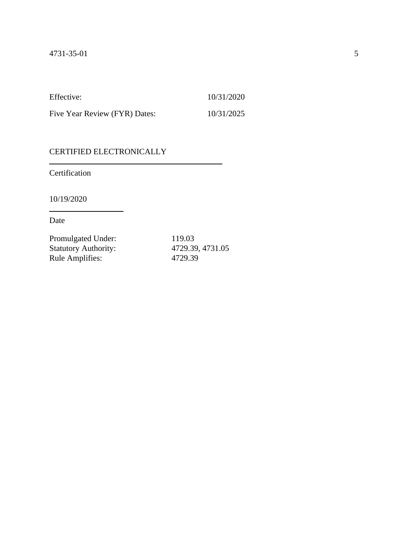Effective: 10/31/2020

Five Year Review (FYR) Dates: 10/31/2025

# CERTIFIED ELECTRONICALLY

Certification

10/19/2020

Date

| Promulgated Under:          | 119.03           |
|-----------------------------|------------------|
| <b>Statutory Authority:</b> | 4729.39, 4731.05 |
| <b>Rule Amplifies:</b>      | 4729.39          |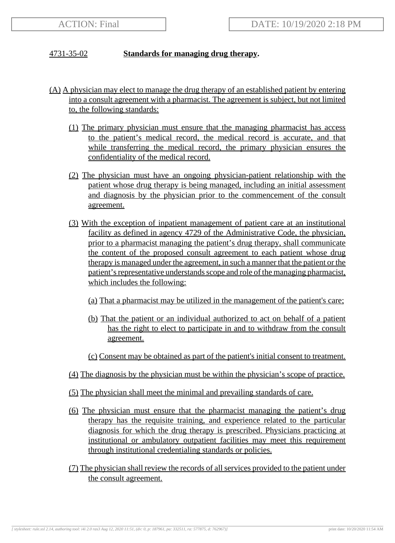### 4731-35-02 **Standards for managing drug therapy.**

- (A) A physician may elect to manage the drug therapy of an established patient by entering into a consult agreement with a pharmacist. The agreement is subject, but not limited to, the following standards:
	- (1) The primary physician must ensure that the managing pharmacist has access to the patient's medical record, the medical record is accurate, and that while transferring the medical record, the primary physician ensures the confidentiality of the medical record.
	- (2) The physician must have an ongoing physician-patient relationship with the patient whose drug therapy is being managed, including an initial assessment and diagnosis by the physician prior to the commencement of the consult agreement.
	- (3) With the exception of inpatient management of patient care at an institutional facility as defined in agency 4729 of the Administrative Code, the physician, prior to a pharmacist managing the patient's drug therapy, shall communicate the content of the proposed consult agreement to each patient whose drug therapy is managed under the agreement, in such a manner that the patient or the patient's representative understands scope and role of the managing pharmacist, which includes the following:
		- (a) That a pharmacist may be utilized in the management of the patient's care;
		- (b) That the patient or an individual authorized to act on behalf of a patient has the right to elect to participate in and to withdraw from the consult agreement.
		- (c) Consent may be obtained as part of the patient's initial consent to treatment.
	- (4) The diagnosis by the physician must be within the physician's scope of practice.
	- (5) The physician shall meet the minimal and prevailing standards of care.
	- (6) The physician must ensure that the pharmacist managing the patient's drug therapy has the requisite training, and experience related to the particular diagnosis for which the drug therapy is prescribed. Physicians practicing at institutional or ambulatory outpatient facilities may meet this requirement through institutional credentialing standards or policies.
	- (7) The physician shall review the records of all services provided to the patient under the consult agreement.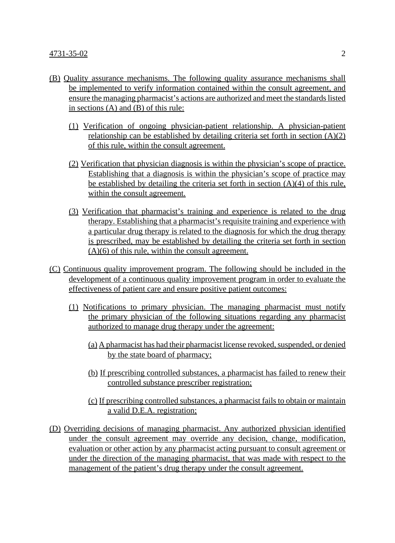- (B) Quality assurance mechanisms. The following quality assurance mechanisms shall be implemented to verify information contained within the consult agreement, and ensure the managing pharmacist's actions are authorized and meet the standards listed in sections (A) and (B) of this rule:
	- (1) Verification of ongoing physician-patient relationship. A physician-patient relationship can be established by detailing criteria set forth in section (A)(2) of this rule, within the consult agreement.
	- (2) Verification that physician diagnosis is within the physician's scope of practice. Establishing that a diagnosis is within the physician's scope of practice may be established by detailing the criteria set forth in section  $(A)(4)$  of this rule, within the consult agreement.
	- (3) Verification that pharmacist's training and experience is related to the drug therapy. Establishing that a pharmacist's requisite training and experience with a particular drug therapy is related to the diagnosis for which the drug therapy is prescribed, may be established by detailing the criteria set forth in section (A)(6) of this rule, within the consult agreement.
- (C) Continuous quality improvement program. The following should be included in the development of a continuous quality improvement program in order to evaluate the effectiveness of patient care and ensure positive patient outcomes:
	- (1) Notifications to primary physician. The managing pharmacist must notify the primary physician of the following situations regarding any pharmacist authorized to manage drug therapy under the agreement:
		- (a) A pharmacist has had their pharmacist license revoked, suspended, or denied by the state board of pharmacy;
		- (b) If prescribing controlled substances, a pharmacist has failed to renew their controlled substance prescriber registration;
		- (c) If prescribing controlled substances, a pharmacist fails to obtain or maintain a valid D.E.A. registration;
- (D) Overriding decisions of managing pharmacist. Any authorized physician identified under the consult agreement may override any decision, change, modification, evaluation or other action by any pharmacist acting pursuant to consult agreement or under the direction of the managing pharmacist, that was made with respect to the management of the patient's drug therapy under the consult agreement.